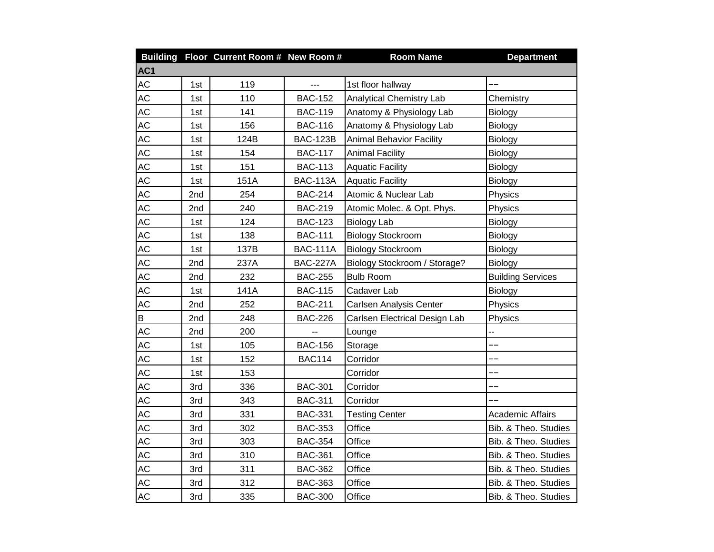|               |     | Building Floor Current Room # New Room # |                 | <b>Room Name</b>                | <b>Department</b>        |
|---------------|-----|------------------------------------------|-----------------|---------------------------------|--------------------------|
| AC1           |     |                                          |                 |                                 |                          |
| AC            | 1st | 119                                      | ---             | 1st floor hallway               |                          |
| AC            | 1st | 110                                      | <b>BAC-152</b>  | <b>Analytical Chemistry Lab</b> | Chemistry                |
| AC            | 1st | 141                                      | <b>BAC-119</b>  | Anatomy & Physiology Lab        | Biology                  |
| AC            | 1st | 156                                      | <b>BAC-116</b>  | Anatomy & Physiology Lab        | Biology                  |
| $\mathsf{AC}$ | 1st | 124B                                     | <b>BAC-123B</b> | <b>Animal Behavior Facility</b> | Biology                  |
| AC            | 1st | 154                                      | <b>BAC-117</b>  | <b>Animal Facility</b>          | Biology                  |
| AC            | 1st | 151                                      | <b>BAC-113</b>  | <b>Aquatic Facility</b>         | Biology                  |
| AC            | 1st | 151A                                     | <b>BAC-113A</b> | <b>Aquatic Facility</b>         | Biology                  |
| AC            | 2nd | 254                                      | <b>BAC-214</b>  | Atomic & Nuclear Lab            | Physics                  |
| AC            | 2nd | 240                                      | <b>BAC-219</b>  | Atomic Molec. & Opt. Phys.      | Physics                  |
| AC            | 1st | 124                                      | <b>BAC-123</b>  | <b>Biology Lab</b>              | Biology                  |
| AC            | 1st | 138                                      | <b>BAC-111</b>  | <b>Biology Stockroom</b>        | Biology                  |
| $AC$          | 1st | 137B                                     | <b>BAC-111A</b> | <b>Biology Stockroom</b>        | Biology                  |
| AC            | 2nd | 237A                                     | <b>BAC-227A</b> | Biology Stockroom / Storage?    | Biology                  |
| AC            | 2nd | 232                                      | <b>BAC-255</b>  | <b>Bulb Room</b>                | <b>Building Services</b> |
| AC            | 1st | 141A                                     | <b>BAC-115</b>  | Cadaver Lab                     | Biology                  |
| AC            | 2nd | 252                                      | <b>BAC-211</b>  | Carlsen Analysis Center         | Physics                  |
| B             | 2nd | 248                                      | <b>BAC-226</b>  | Carlsen Electrical Design Lab   | Physics                  |
| AC            | 2nd | 200                                      |                 | Lounge                          |                          |
| $\mathsf{AC}$ | 1st | 105                                      | <b>BAC-156</b>  | Storage                         | $-$                      |
| AC            | 1st | 152                                      | <b>BAC114</b>   | Corridor                        | $-$                      |
| AC            | 1st | 153                                      |                 | Corridor                        | --                       |
| AC            | 3rd | 336                                      | <b>BAC-301</b>  | Corridor                        | --                       |
| AC            | 3rd | 343                                      | <b>BAC-311</b>  | Corridor                        | $-$                      |
| AC            | 3rd | 331                                      | <b>BAC-331</b>  | <b>Testing Center</b>           | <b>Academic Affairs</b>  |
| AC            | 3rd | 302                                      | <b>BAC-353</b>  | Office                          | Bib. & Theo. Studies     |
| $\mathsf{AC}$ | 3rd | 303                                      | <b>BAC-354</b>  | Office                          | Bib. & Theo. Studies     |
| AC            | 3rd | 310                                      | <b>BAC-361</b>  | Office                          | Bib. & Theo. Studies     |
| AC            | 3rd | 311                                      | <b>BAC-362</b>  | Office                          | Bib. & Theo. Studies     |
| AC            | 3rd | 312                                      | <b>BAC-363</b>  | Office                          | Bib. & Theo. Studies     |
| AC            | 3rd | 335                                      | <b>BAC-300</b>  | Office                          | Bib. & Theo. Studies     |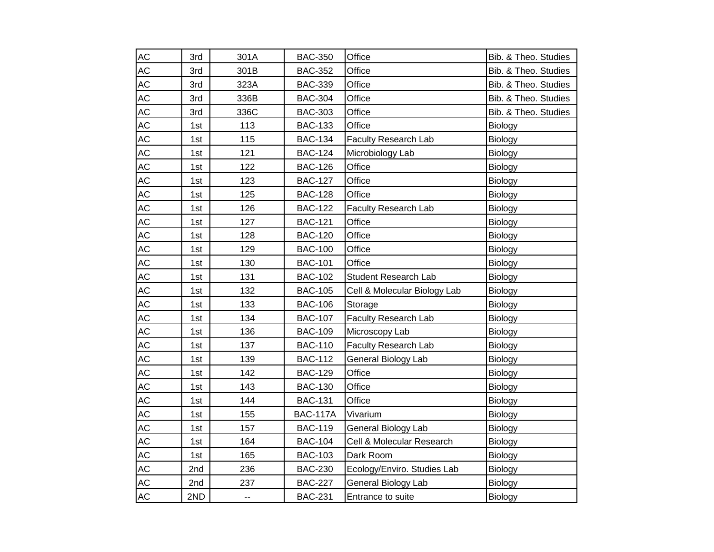| <b>AC</b>     | 3rd | 301A | <b>BAC-350</b>  | Office                       | Bib. & Theo. Studies |
|---------------|-----|------|-----------------|------------------------------|----------------------|
| <b>AC</b>     | 3rd | 301B | <b>BAC-352</b>  | Office                       | Bib. & Theo. Studies |
| AC            | 3rd | 323A | <b>BAC-339</b>  | Office                       | Bib. & Theo. Studies |
| <b>AC</b>     | 3rd | 336B | <b>BAC-304</b>  | Office                       | Bib. & Theo. Studies |
| AC            | 3rd | 336C | <b>BAC-303</b>  | Office                       | Bib. & Theo. Studies |
| <b>AC</b>     | 1st | 113  | <b>BAC-133</b>  | Office                       | Biology              |
| AC            | 1st | 115  | <b>BAC-134</b>  | <b>Faculty Research Lab</b>  | Biology              |
| AC            | 1st | 121  | <b>BAC-124</b>  | Microbiology Lab             | Biology              |
| AC            | 1st | 122  | <b>BAC-126</b>  | Office                       | Biology              |
| $\mathsf{AC}$ | 1st | 123  | <b>BAC-127</b>  | Office                       | Biology              |
| AC            | 1st | 125  | <b>BAC-128</b>  | Office                       | Biology              |
| AC            | 1st | 126  | <b>BAC-122</b>  | Faculty Research Lab         | Biology              |
| AC            | 1st | 127  | <b>BAC-121</b>  | Office                       | Biology              |
| AC            | 1st | 128  | <b>BAC-120</b>  | Office                       | Biology              |
| $\mathsf{AC}$ | 1st | 129  | <b>BAC-100</b>  | Office                       | Biology              |
| AC            | 1st | 130  | <b>BAC-101</b>  | Office                       | Biology              |
| <b>AC</b>     | 1st | 131  | <b>BAC-102</b>  | Student Research Lab         | Biology              |
| AC            | 1st | 132  | <b>BAC-105</b>  | Cell & Molecular Biology Lab | Biology              |
| AC            | 1st | 133  | <b>BAC-106</b>  | Storage                      | Biology              |
| AC            | 1st | 134  | <b>BAC-107</b>  | Faculty Research Lab         | Biology              |
| AC            | 1st | 136  | <b>BAC-109</b>  | Microscopy Lab               | Biology              |
| AC            | 1st | 137  | <b>BAC-110</b>  | Faculty Research Lab         | Biology              |
| AC            | 1st | 139  | <b>BAC-112</b>  | General Biology Lab          | Biology              |
| $\mathsf{AC}$ | 1st | 142  | <b>BAC-129</b>  | Office                       | Biology              |
| AC            | 1st | 143  | <b>BAC-130</b>  | Office                       | Biology              |
| <b>AC</b>     | 1st | 144  | <b>BAC-131</b>  | Office                       | Biology              |
| AC            | 1st | 155  | <b>BAC-117A</b> | Vivarium                     | Biology              |
| AC            | 1st | 157  | <b>BAC-119</b>  | General Biology Lab          | Biology              |
| <b>AC</b>     | 1st | 164  | <b>BAC-104</b>  | Cell & Molecular Research    | Biology              |
| AC            | 1st | 165  | <b>BAC-103</b>  | Dark Room                    | Biology              |
| AC            | 2nd | 236  | <b>BAC-230</b>  | Ecology/Enviro. Studies Lab  | Biology              |
| AC            | 2nd | 237  | <b>BAC-227</b>  | General Biology Lab          | Biology              |
| <b>AC</b>     | 2ND | Ξ.   | <b>BAC-231</b>  | Entrance to suite            | Biology              |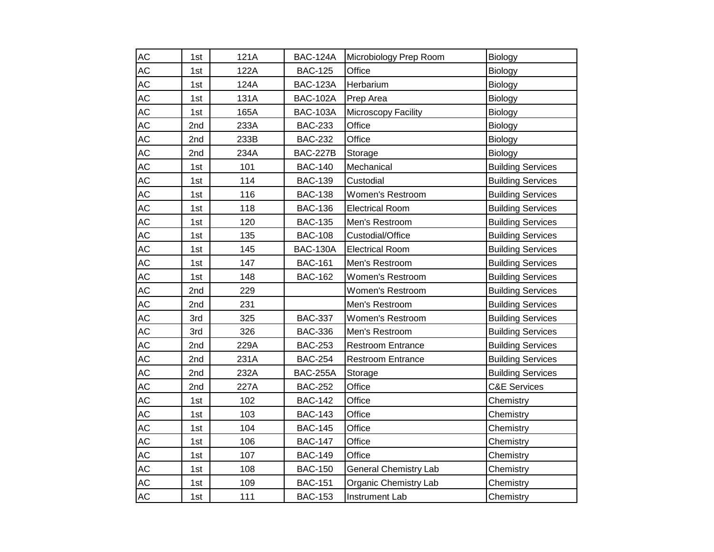| AC            | 1st | 121A | <b>BAC-124A</b> | Microbiology Prep Room       | Biology                  |
|---------------|-----|------|-----------------|------------------------------|--------------------------|
| AC            | 1st | 122A | <b>BAC-125</b>  | Office                       | Biology                  |
| AC            | 1st | 124A | <b>BAC-123A</b> | Herbarium                    | Biology                  |
| AC            | 1st | 131A | <b>BAC-102A</b> | Prep Area                    | Biology                  |
| AC            | 1st | 165A | <b>BAC-103A</b> | Microscopy Facility          | Biology                  |
| AC            | 2nd | 233A | <b>BAC-233</b>  | Office                       | Biology                  |
| AC            | 2nd | 233B | <b>BAC-232</b>  | Office                       | Biology                  |
| AC            | 2nd | 234A | <b>BAC-227B</b> | Storage                      | Biology                  |
| $AC$          | 1st | 101  | <b>BAC-140</b>  | Mechanical                   | <b>Building Services</b> |
| $\mathsf{AC}$ | 1st | 114  | <b>BAC-139</b>  | Custodial                    | <b>Building Services</b> |
| AC            | 1st | 116  | <b>BAC-138</b>  | Women's Restroom             | <b>Building Services</b> |
| AC            | 1st | 118  | <b>BAC-136</b>  | <b>Electrical Room</b>       | <b>Building Services</b> |
| AC            | 1st | 120  | <b>BAC-135</b>  | Men's Restroom               | <b>Building Services</b> |
| AC            | 1st | 135  | <b>BAC-108</b>  | Custodial/Office             | <b>Building Services</b> |
| AC            | 1st | 145  | <b>BAC-130A</b> | <b>Electrical Room</b>       | <b>Building Services</b> |
| AC            | 1st | 147  | <b>BAC-161</b>  | Men's Restroom               | <b>Building Services</b> |
| AC            | 1st | 148  | <b>BAC-162</b>  | Women's Restroom             | <b>Building Services</b> |
| $\mathsf{AC}$ | 2nd | 229  |                 | Women's Restroom             | <b>Building Services</b> |
| AC            | 2nd | 231  |                 | Men's Restroom               | <b>Building Services</b> |
| AC            | 3rd | 325  | <b>BAC-337</b>  | Women's Restroom             | <b>Building Services</b> |
| AC            | 3rd | 326  | <b>BAC-336</b>  | Men's Restroom               | <b>Building Services</b> |
| AC            | 2nd | 229A | <b>BAC-253</b>  | Restroom Entrance            | <b>Building Services</b> |
| AC            | 2nd | 231A | <b>BAC-254</b>  | <b>Restroom Entrance</b>     | <b>Building Services</b> |
| AC            | 2nd | 232A | <b>BAC-255A</b> | Storage                      | <b>Building Services</b> |
| $\mathsf{AC}$ | 2nd | 227A | <b>BAC-252</b>  | Office                       | <b>C&amp;E Services</b>  |
| AC            | 1st | 102  | <b>BAC-142</b>  | Office                       | Chemistry                |
| AC            | 1st | 103  | <b>BAC-143</b>  | Office                       | Chemistry                |
| AC            | 1st | 104  | <b>BAC-145</b>  | Office                       | Chemistry                |
| AC            | 1st | 106  | <b>BAC-147</b>  | Office                       | Chemistry                |
| AC            | 1st | 107  | <b>BAC-149</b>  | Office                       | Chemistry                |
| AC            | 1st | 108  | <b>BAC-150</b>  | <b>General Chemistry Lab</b> | Chemistry                |
| AC            | 1st | 109  | <b>BAC-151</b>  | Organic Chemistry Lab        | Chemistry                |
| <b>AC</b>     | 1st | 111  | <b>BAC-153</b>  | <b>Instrument Lab</b>        | Chemistry                |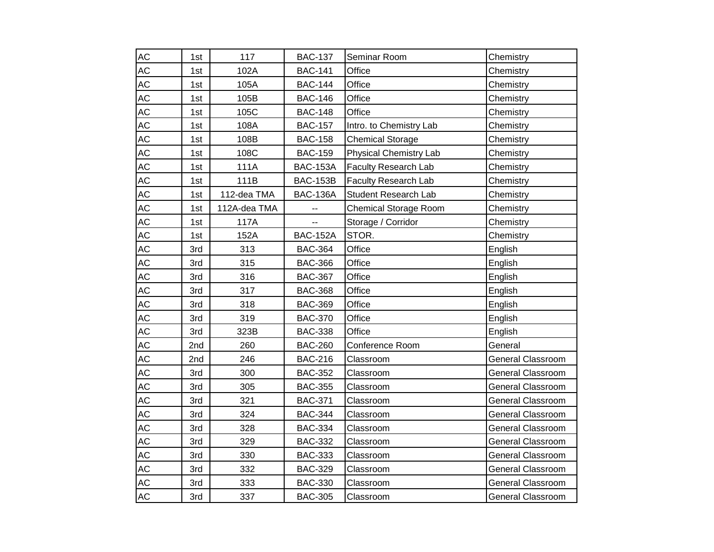| AC        | 1st | 117          | <b>BAC-137</b>  | Seminar Room                  | Chemistry                |
|-----------|-----|--------------|-----------------|-------------------------------|--------------------------|
| AC        | 1st | 102A         | <b>BAC-141</b>  | Office                        | Chemistry                |
| AC        | 1st | 105A         | <b>BAC-144</b>  | Office                        | Chemistry                |
| AC        | 1st | 105B         | <b>BAC-146</b>  | Office                        | Chemistry                |
| AC        | 1st | 105C         | <b>BAC-148</b>  | Office                        | Chemistry                |
| AC        | 1st | 108A         | <b>BAC-157</b>  | Intro. to Chemistry Lab       | Chemistry                |
| AC        | 1st | 108B         | <b>BAC-158</b>  | <b>Chemical Storage</b>       | Chemistry                |
| AC        | 1st | 108C         | <b>BAC-159</b>  | <b>Physical Chemistry Lab</b> | Chemistry                |
| AC        | 1st | 111A         | <b>BAC-153A</b> | Faculty Research Lab          | Chemistry                |
| AC        | 1st | 111B         | <b>BAC-153B</b> | <b>Faculty Research Lab</b>   | Chemistry                |
| AC        | 1st | 112-dea TMA  | <b>BAC-136A</b> | Student Research Lab          | Chemistry                |
| AC        | 1st | 112A-dea TMA |                 | <b>Chemical Storage Room</b>  | Chemistry                |
| AC        | 1st | 117A         | 44              | Storage / Corridor            | Chemistry                |
| AC        | 1st | 152A         | <b>BAC-152A</b> | STOR.                         | Chemistry                |
| AC        | 3rd | 313          | <b>BAC-364</b>  | Office                        | English                  |
| AC        | 3rd | 315          | <b>BAC-366</b>  | Office                        | English                  |
| <b>AC</b> | 3rd | 316          | <b>BAC-367</b>  | Office                        | English                  |
| AC        | 3rd | 317          | <b>BAC-368</b>  | Office                        | English                  |
| AC        | 3rd | 318          | <b>BAC-369</b>  | Office                        | English                  |
| <b>AC</b> | 3rd | 319          | <b>BAC-370</b>  | Office                        | English                  |
| AC        | 3rd | 323B         | <b>BAC-338</b>  | Office                        | English                  |
| <b>AC</b> | 2nd | 260          | <b>BAC-260</b>  | Conference Room               | General                  |
| AC        | 2nd | 246          | <b>BAC-216</b>  | Classroom                     | General Classroom        |
| AC        | 3rd | 300          | <b>BAC-352</b>  | Classroom                     | <b>General Classroom</b> |
| AC        | 3rd | 305          | <b>BAC-355</b>  | Classroom                     | <b>General Classroom</b> |
| AC        | 3rd | 321          | <b>BAC-371</b>  | Classroom                     | <b>General Classroom</b> |
| AC        | 3rd | 324          | <b>BAC-344</b>  | Classroom                     | General Classroom        |
| AC        | 3rd | 328          | <b>BAC-334</b>  | Classroom                     | General Classroom        |
| AC        | 3rd | 329          | <b>BAC-332</b>  | Classroom                     | General Classroom        |
| <b>AC</b> | 3rd | 330          | <b>BAC-333</b>  | Classroom                     | General Classroom        |
| AC        | 3rd | 332          | <b>BAC-329</b>  | Classroom                     | General Classroom        |
| AC        | 3rd | 333          | <b>BAC-330</b>  | Classroom                     | General Classroom        |
| <b>AC</b> | 3rd | 337          | <b>BAC-305</b>  | Classroom                     | General Classroom        |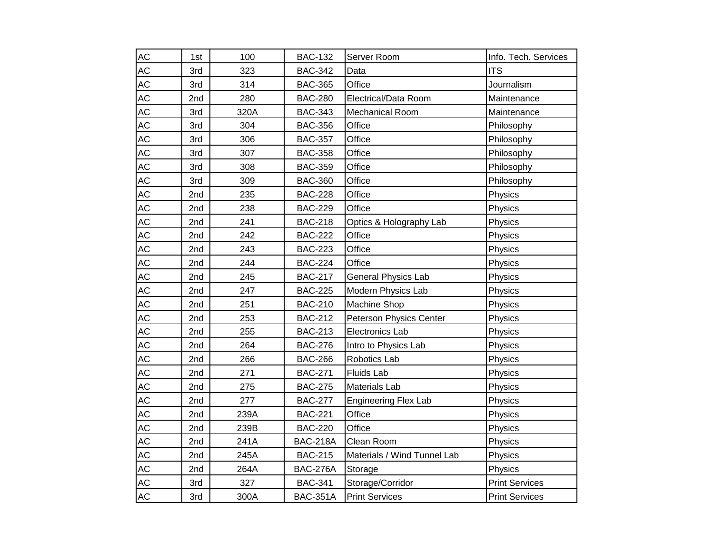| AC            | 1st | 100  | <b>BAC-132</b>  | Server Room                 | Info. Tech. Services  |
|---------------|-----|------|-----------------|-----------------------------|-----------------------|
| AC            | 3rd | 323  | <b>BAC-342</b>  | Data                        | <b>ITS</b>            |
| AC            | 3rd | 314  | <b>BAC-365</b>  | Office                      | Journalism            |
| AC            | 2nd | 280  | <b>BAC-280</b>  | Electrical/Data Room        | Maintenance           |
| AC            | 3rd | 320A | <b>BAC-343</b>  | <b>Mechanical Room</b>      | Maintenance           |
| AC            | 3rd | 304  | <b>BAC-356</b>  | Office                      | Philosophy            |
| AC            | 3rd | 306  | <b>BAC-357</b>  | Office                      | Philosophy            |
| AC            | 3rd | 307  | <b>BAC-358</b>  | Office                      | Philosophy            |
| AC            | 3rd | 308  | <b>BAC-359</b>  | Office                      | Philosophy            |
| $\mathsf{AC}$ | 3rd | 309  | <b>BAC-360</b>  | Office                      | Philosophy            |
| AC            | 2nd | 235  | <b>BAC-228</b>  | Office                      | Physics               |
| <b>AC</b>     | 2nd | 238  | <b>BAC-229</b>  | Office                      | Physics               |
| AC            | 2nd | 241  | <b>BAC-218</b>  | Optics & Holography Lab     | Physics               |
| AC            | 2nd | 242  | <b>BAC-222</b>  | Office                      | Physics               |
| AC            | 2nd | 243  | <b>BAC-223</b>  | Office                      | Physics               |
| AC            | 2nd | 244  | <b>BAC-224</b>  | Office                      | Physics               |
| AC            | 2nd | 245  | <b>BAC-217</b>  | <b>General Physics Lab</b>  | Physics               |
| $\mathsf{AC}$ | 2nd | 247  | <b>BAC-225</b>  | Modern Physics Lab          | Physics               |
| AC            | 2nd | 251  | <b>BAC-210</b>  | Machine Shop                | Physics               |
| AC            | 2nd | 253  | <b>BAC-212</b>  | Peterson Physics Center     | Physics               |
| AC            | 2nd | 255  | <b>BAC-213</b>  | Electronics Lab             | Physics               |
| AC            | 2nd | 264  | <b>BAC-276</b>  | Intro to Physics Lab        | Physics               |
| AC            | 2nd | 266  | <b>BAC-266</b>  | Robotics Lab                | Physics               |
| AC            | 2nd | 271  | <b>BAC-271</b>  | <b>Fluids Lab</b>           | Physics               |
| <b>AC</b>     | 2nd | 275  | <b>BAC-275</b>  | <b>Materials Lab</b>        | Physics               |
| AC            | 2nd | 277  | <b>BAC-277</b>  | <b>Engineering Flex Lab</b> | Physics               |
| AC            | 2nd | 239A | <b>BAC-221</b>  | Office                      | Physics               |
| AC            | 2nd | 239B | <b>BAC-220</b>  | Office                      | Physics               |
| AC            | 2nd | 241A | <b>BAC-218A</b> | Clean Room                  | Physics               |
| AC            | 2nd | 245A | <b>BAC-215</b>  | Materials / Wind Tunnel Lab | Physics               |
| AC            | 2nd | 264A | <b>BAC-276A</b> | Storage                     | Physics               |
| AC            | 3rd | 327  | <b>BAC-341</b>  | Storage/Corridor            | <b>Print Services</b> |
| AC            | 3rd | 300A | <b>BAC-351A</b> | <b>Print Services</b>       | <b>Print Services</b> |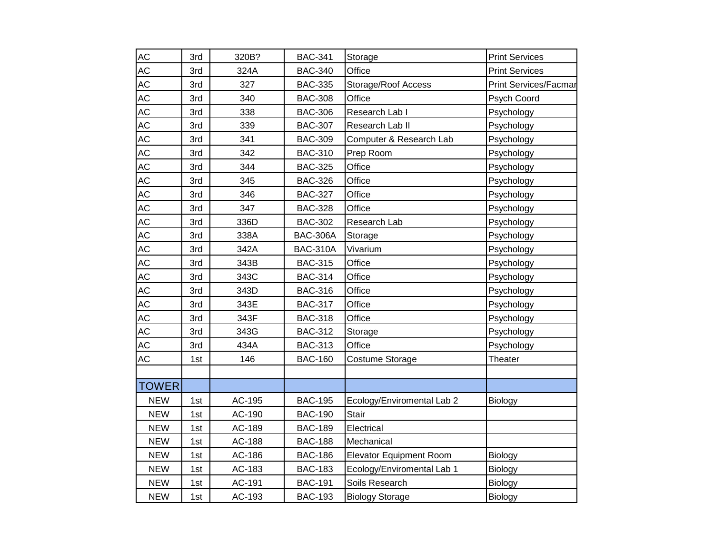| AC           | 3rd | 320B?  | <b>BAC-341</b>  | Storage                        | <b>Print Services</b>        |
|--------------|-----|--------|-----------------|--------------------------------|------------------------------|
| AC           | 3rd | 324A   | <b>BAC-340</b>  | Office                         | <b>Print Services</b>        |
| AC           | 3rd | 327    | <b>BAC-335</b>  | Storage/Roof Access            | <b>Print Services/Facmar</b> |
| AC           | 3rd | 340    | <b>BAC-308</b>  | Office                         | Psych Coord                  |
| AC           | 3rd | 338    | <b>BAC-306</b>  | Research Lab I                 | Psychology                   |
| AC           | 3rd | 339    | <b>BAC-307</b>  | Research Lab II                | Psychology                   |
| AC           | 3rd | 341    | <b>BAC-309</b>  | Computer & Research Lab        | Psychology                   |
| AC           | 3rd | 342    | <b>BAC-310</b>  | Prep Room                      | Psychology                   |
| <b>AC</b>    | 3rd | 344    | <b>BAC-325</b>  | Office                         | Psychology                   |
| AC           | 3rd | 345    | <b>BAC-326</b>  | Office                         | Psychology                   |
| AC           | 3rd | 346    | <b>BAC-327</b>  | Office                         | Psychology                   |
| AC           | 3rd | 347    | <b>BAC-328</b>  | Office                         | Psychology                   |
| AC           | 3rd | 336D   | <b>BAC-302</b>  | Research Lab                   | Psychology                   |
| AC           | 3rd | 338A   | <b>BAC-306A</b> | Storage                        | Psychology                   |
| AC           | 3rd | 342A   | <b>BAC-310A</b> | Vivarium                       | Psychology                   |
| AC           | 3rd | 343B   | <b>BAC-315</b>  | Office                         | Psychology                   |
| AC           | 3rd | 343C   | <b>BAC-314</b>  | Office                         | Psychology                   |
| AC           | 3rd | 343D   | <b>BAC-316</b>  | Office                         | Psychology                   |
| AC           | 3rd | 343E   | <b>BAC-317</b>  | Office                         | Psychology                   |
| AC           | 3rd | 343F   | <b>BAC-318</b>  | Office                         | Psychology                   |
| AC           | 3rd | 343G   | <b>BAC-312</b>  | Storage                        | Psychology                   |
| AC           | 3rd | 434A   | <b>BAC-313</b>  | Office                         | Psychology                   |
| AC           | 1st | 146    | <b>BAC-160</b>  | Costume Storage                | Theater                      |
|              |     |        |                 |                                |                              |
| <b>TOWER</b> |     |        |                 |                                |                              |
| <b>NEW</b>   | 1st | AC-195 | <b>BAC-195</b>  | Ecology/Enviromental Lab 2     | <b>Biology</b>               |
| <b>NEW</b>   | 1st | AC-190 | <b>BAC-190</b>  | <b>Stair</b>                   |                              |
| <b>NEW</b>   | 1st | AC-189 | <b>BAC-189</b>  | Electrical                     |                              |
| <b>NEW</b>   | 1st | AC-188 | <b>BAC-188</b>  | Mechanical                     |                              |
| <b>NEW</b>   | 1st | AC-186 | <b>BAC-186</b>  | <b>Elevator Equipment Room</b> | Biology                      |
| <b>NEW</b>   | 1st | AC-183 | <b>BAC-183</b>  | Ecology/Enviromental Lab 1     | Biology                      |
| <b>NEW</b>   | 1st | AC-191 | <b>BAC-191</b>  | Soils Research                 | Biology                      |
| <b>NEW</b>   | 1st | AC-193 | <b>BAC-193</b>  | <b>Biology Storage</b>         | Biology                      |